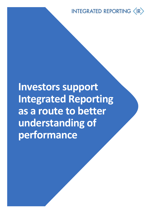INTEGRATED REPORTING (IR)

**Investors support Integrated Reporting as a route to better understanding of performance**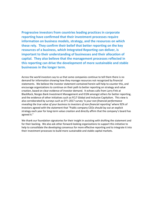**Progressive investors from countries leading practices in corporate reporting have confirmed that their investment processes require information on business models, strategy, and the resources on which these rely. They confirm their belief that better reporting on the key resources of a business, which Integrated Reporting can deliver, is important to their understanding of businesses and their allocation of capital. They also believe that the management processes reflected in this reporting can drive the development of more sustainable and stable businesses in the longer term.** 

Across the world investors say to us that some companies continue to tell them there is no demand for information showing how they manage resources not recognized by financial statements. We believe the investor statement contained herein will help to counter this, and encourage organizations to continue on their path to better reporting on strategy and value creation, based on clear evidence of investor demand. It echoes calls from Larry Fink at BlackRock, Norges Bank Investment Management and ICGN amongst others for better reporting, and the evidence of other initiatives such as FCLT Global and Inclusive Capitalism. This view is also corroborated by surveys such as EY's 2017 survey '*Is your non-financial performance revealing the true value of your business to investors of non-financial reporting'* where 92% of investors agreed with the statement that "Public company CEOs should lay out an explicit strategy each year for long-term value creation and directly affirm that the company's board has agreed it."

We thank our foundation signatories for their insight in assisting with drafting the statement and for their backing. We also ask other forward-looking organizations to support this initiative to help to consolidate the developing consensus for more effective reporting and to integrate it into their investment processes to build more sustainable and stable capital markets.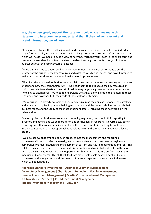## **We, the undersigned, support the statement below. We have made this statement to help companies understand that, if they deliver relevant and useful information, we will use it.**

"As major investors in the world's financial markets, we are fiduciaries for millions of individuals. To perform this role, we need to understand the long-term return prospects of the businesses in which we invest. We need to build a view of how they might perform, both in the short-term and over many years ahead, and to understand the risks they might encounter, not just in the next quarter but over the coming years or decades.

"To do this we need to understand not only their immediate financial performance, but the strategy of the business, the key resources and assets to which it has access and how it intends to maintain access to these resources and maintain or improve its assets.

"This gives rise to a need for businesses to explain their business models and strategies so that we understand how they earn their returns. We need them to tell us about the key resources on which they rely, to understand the cost of maintaining or growing them or, where necessary, of switching to alternatives. We need to understand what they do to maintain their access to those resources, and how they fulfil the needs of their staff or customers.

"Many businesses already do some of this: clearly explaining their business model, their strategy and how this is applied in practice, helping us to understand the key stakeholders on which their business relies, and the utility of the most important assets, including those not visible on the balance sheet.

"We recognise that businesses are under continuing regulatory pressure both in reporting to investors and others, and we support clarity and conciseness in reporting. Nevertheless, better reporting and effective communication of how the business works in the long-term, through Integrated Reporting or other approaches, is valued by us and is important in how we allocate capital.

"We also believe that embedding such practices into the management and reporting of businesses will help to drive improved governance and stewardship practices through more comprehensive identification and management of current and future opportunities and risks. This will help businesses to move the focus on decision-making and capital allocation from the shortterm to the strategic issues, risks and opportunities that determine future performance in the medium and longer term. This shift will facilitate more sustainable development and stable businesses in the longer term and the growth of more transparent and robust capital markets which will benefit us all."

**Aberdeen Standard Investments | Achmea Investment Management Aegon Asset Management | Cbus Super | Eumedion | Evenlode Investment Hermes Investment Management | Martin Currie Investment Management NN Investment Partners | PGGM Investment Management Triodos Investment Management | VicSuper**